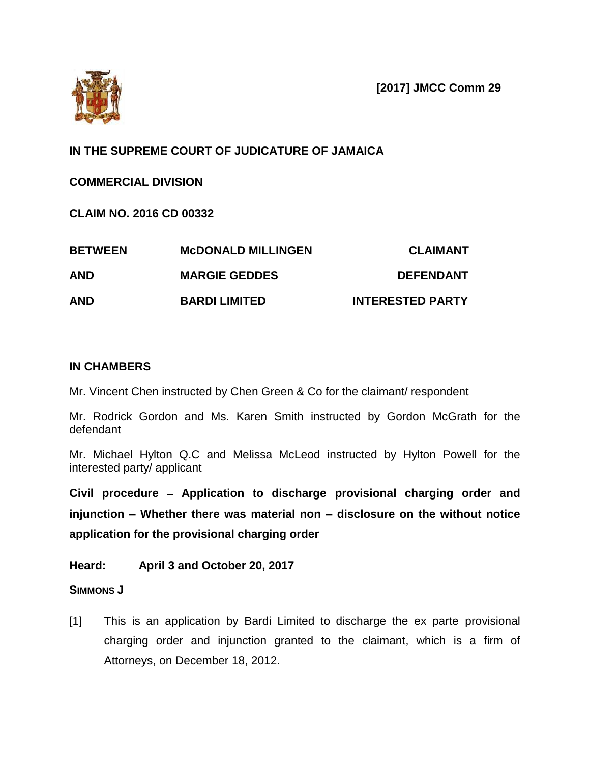

# **IN THE SUPREME COURT OF JUDICATURE OF JAMAICA**

## **COMMERCIAL DIVISION**

**CLAIM NO. 2016 CD 00332**

| <b>BETWEEN</b> | <b>MCDONALD MILLINGEN</b><br><b>MARGIE GEDDES</b> | <b>CLAIMANT</b><br><b>DEFENDANT</b> |
|----------------|---------------------------------------------------|-------------------------------------|
| <b>AND</b>     |                                                   |                                     |
| <b>AND</b>     | <b>BARDI LIMITED</b>                              | <b>INTERESTED PARTY</b>             |

### **IN CHAMBERS**

Mr. Vincent Chen instructed by Chen Green & Co for the claimant/ respondent

Mr. Rodrick Gordon and Ms. Karen Smith instructed by Gordon McGrath for the defendant

Mr. Michael Hylton Q.C and Melissa McLeod instructed by Hylton Powell for the interested party/ applicant

**Civil procedure Application to discharge provisional charging order and injunction – Whether there was material non – disclosure on the without notice application for the provisional charging order**

**Heard: April 3 and October 20, 2017**

### **SIMMONS J**

[1] This is an application by Bardi Limited to discharge the ex parte provisional charging order and injunction granted to the claimant, which is a firm of Attorneys, on December 18, 2012.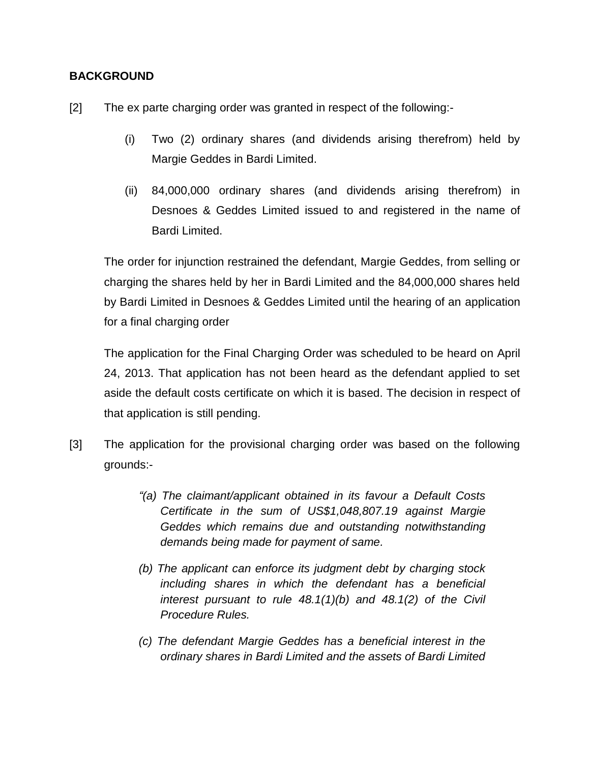### **BACKGROUND**

- [2] The ex parte charging order was granted in respect of the following:-
	- (i) Two (2) ordinary shares (and dividends arising therefrom) held by Margie Geddes in Bardi Limited.
	- (ii) 84,000,000 ordinary shares (and dividends arising therefrom) in Desnoes & Geddes Limited issued to and registered in the name of Bardi Limited.

The order for injunction restrained the defendant, Margie Geddes, from selling or charging the shares held by her in Bardi Limited and the 84,000,000 shares held by Bardi Limited in Desnoes & Geddes Limited until the hearing of an application for a final charging order

The application for the Final Charging Order was scheduled to be heard on April 24, 2013. That application has not been heard as the defendant applied to set aside the default costs certificate on which it is based. The decision in respect of that application is still pending.

- [3] The application for the provisional charging order was based on the following grounds:-
	- *"(a) The claimant/applicant obtained in its favour a Default Costs Certificate in the sum of US\$1,048,807.19 against Margie Geddes which remains due and outstanding notwithstanding demands being made for payment of same.*
	- *(b) The applicant can enforce its judgment debt by charging stock including shares in which the defendant has a beneficial interest pursuant to rule 48.1(1)(b) and 48.1(2) of the Civil Procedure Rules.*
	- *(c) The defendant Margie Geddes has a beneficial interest in the ordinary shares in Bardi Limited and the assets of Bardi Limited*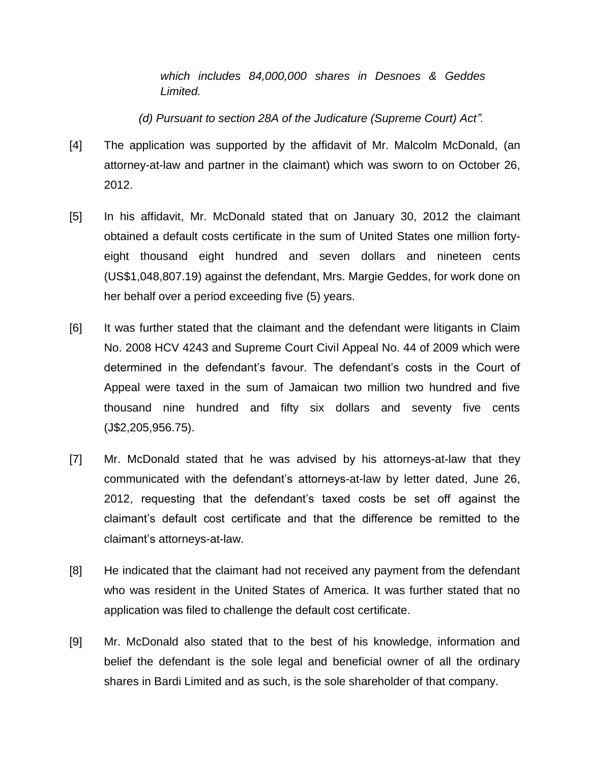*which includes 84,000,000 shares in Desnoes & Geddes Limited.*

*(d) Pursuant to section 28A of the Judicature (Supreme Court) Act".*

- [4] The application was supported by the affidavit of Mr. Malcolm McDonald, (an attorney-at-law and partner in the claimant) which was sworn to on October 26, 2012.
- [5] In his affidavit, Mr. McDonald stated that on January 30, 2012 the claimant obtained a default costs certificate in the sum of United States one million fortyeight thousand eight hundred and seven dollars and nineteen cents (US\$1,048,807.19) against the defendant, Mrs. Margie Geddes, for work done on her behalf over a period exceeding five (5) years.
- [6] It was further stated that the claimant and the defendant were litigants in Claim No. 2008 HCV 4243 and Supreme Court Civil Appeal No. 44 of 2009 which were determined in the defendant's favour. The defendant's costs in the Court of Appeal were taxed in the sum of Jamaican two million two hundred and five thousand nine hundred and fifty six dollars and seventy five cents (J\$2,205,956.75).
- [7] Mr. McDonald stated that he was advised by his attorneys-at-law that they communicated with the defendant"s attorneys-at-law by letter dated, June 26, 2012, requesting that the defendant"s taxed costs be set off against the claimant"s default cost certificate and that the difference be remitted to the claimant"s attorneys-at-law.
- [8] He indicated that the claimant had not received any payment from the defendant who was resident in the United States of America. It was further stated that no application was filed to challenge the default cost certificate.
- [9] Mr. McDonald also stated that to the best of his knowledge, information and belief the defendant is the sole legal and beneficial owner of all the ordinary shares in Bardi Limited and as such, is the sole shareholder of that company.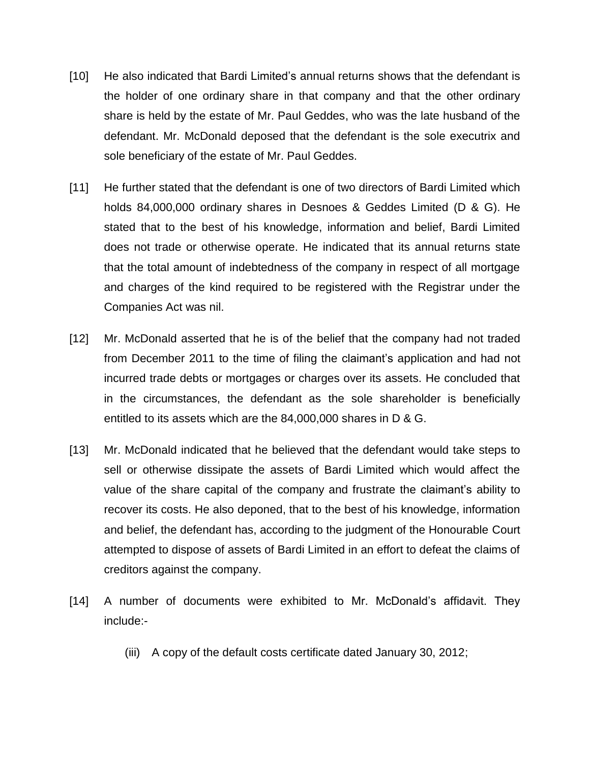- [10] He also indicated that Bardi Limited"s annual returns shows that the defendant is the holder of one ordinary share in that company and that the other ordinary share is held by the estate of Mr. Paul Geddes, who was the late husband of the defendant. Mr. McDonald deposed that the defendant is the sole executrix and sole beneficiary of the estate of Mr. Paul Geddes.
- [11] He further stated that the defendant is one of two directors of Bardi Limited which holds 84,000,000 ordinary shares in Desnoes & Geddes Limited (D & G). He stated that to the best of his knowledge, information and belief, Bardi Limited does not trade or otherwise operate. He indicated that its annual returns state that the total amount of indebtedness of the company in respect of all mortgage and charges of the kind required to be registered with the Registrar under the Companies Act was nil.
- [12] Mr. McDonald asserted that he is of the belief that the company had not traded from December 2011 to the time of filing the claimant"s application and had not incurred trade debts or mortgages or charges over its assets. He concluded that in the circumstances, the defendant as the sole shareholder is beneficially entitled to its assets which are the 84,000,000 shares in D & G.
- [13] Mr. McDonald indicated that he believed that the defendant would take steps to sell or otherwise dissipate the assets of Bardi Limited which would affect the value of the share capital of the company and frustrate the claimant"s ability to recover its costs. He also deponed, that to the best of his knowledge, information and belief, the defendant has, according to the judgment of the Honourable Court attempted to dispose of assets of Bardi Limited in an effort to defeat the claims of creditors against the company.
- [14] A number of documents were exhibited to Mr. McDonald's affidavit. They include:-
	- (iii) A copy of the default costs certificate dated January 30, 2012;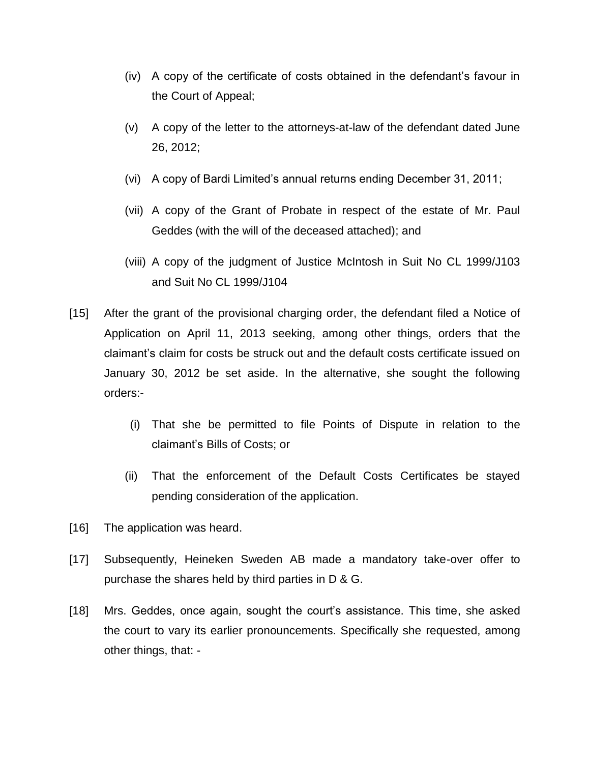- (iv) A copy of the certificate of costs obtained in the defendant"s favour in the Court of Appeal;
- (v) A copy of the letter to the attorneys-at-law of the defendant dated June 26, 2012;
- (vi) A copy of Bardi Limited"s annual returns ending December 31, 2011;
- (vii) A copy of the Grant of Probate in respect of the estate of Mr. Paul Geddes (with the will of the deceased attached); and
- (viii) A copy of the judgment of Justice McIntosh in Suit No CL 1999/J103 and Suit No CL 1999/J104
- [15] After the grant of the provisional charging order, the defendant filed a Notice of Application on April 11, 2013 seeking, among other things, orders that the claimant"s claim for costs be struck out and the default costs certificate issued on January 30, 2012 be set aside. In the alternative, she sought the following orders:-
	- (i) That she be permitted to file Points of Dispute in relation to the claimant"s Bills of Costs; or
	- (ii) That the enforcement of the Default Costs Certificates be stayed pending consideration of the application.
- [16] The application was heard.
- [17] Subsequently, Heineken Sweden AB made a mandatory take-over offer to purchase the shares held by third parties in D & G.
- [18] Mrs. Geddes, once again, sought the court"s assistance. This time, she asked the court to vary its earlier pronouncements. Specifically she requested, among other things, that: -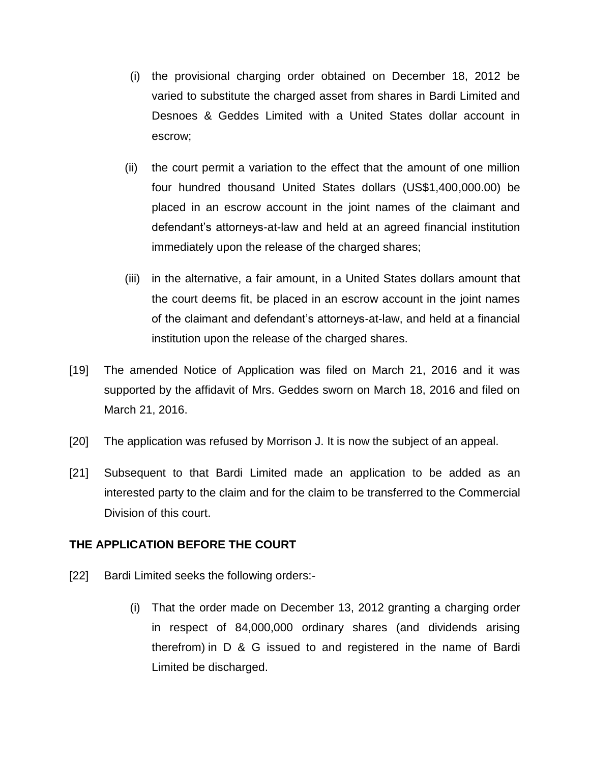- (i) the provisional charging order obtained on December 18, 2012 be varied to substitute the charged asset from shares in Bardi Limited and Desnoes & Geddes Limited with a United States dollar account in escrow;
- (ii) the court permit a variation to the effect that the amount of one million four hundred thousand United States dollars (US\$1,400,000.00) be placed in an escrow account in the joint names of the claimant and defendant"s attorneys-at-law and held at an agreed financial institution immediately upon the release of the charged shares;
- (iii) in the alternative, a fair amount, in a United States dollars amount that the court deems fit, be placed in an escrow account in the joint names of the claimant and defendant"s attorneys-at-law, and held at a financial institution upon the release of the charged shares.
- [19] The amended Notice of Application was filed on March 21, 2016 and it was supported by the affidavit of Mrs. Geddes sworn on March 18, 2016 and filed on March 21, 2016.
- [20] The application was refused by Morrison J. It is now the subject of an appeal.
- [21] Subsequent to that Bardi Limited made an application to be added as an interested party to the claim and for the claim to be transferred to the Commercial Division of this court.

### **THE APPLICATION BEFORE THE COURT**

- [22] Bardi Limited seeks the following orders:-
	- (i) That the order made on December 13, 2012 granting a charging order in respect of 84,000,000 ordinary shares (and dividends arising therefrom) in D & G issued to and registered in the name of Bardi Limited be discharged.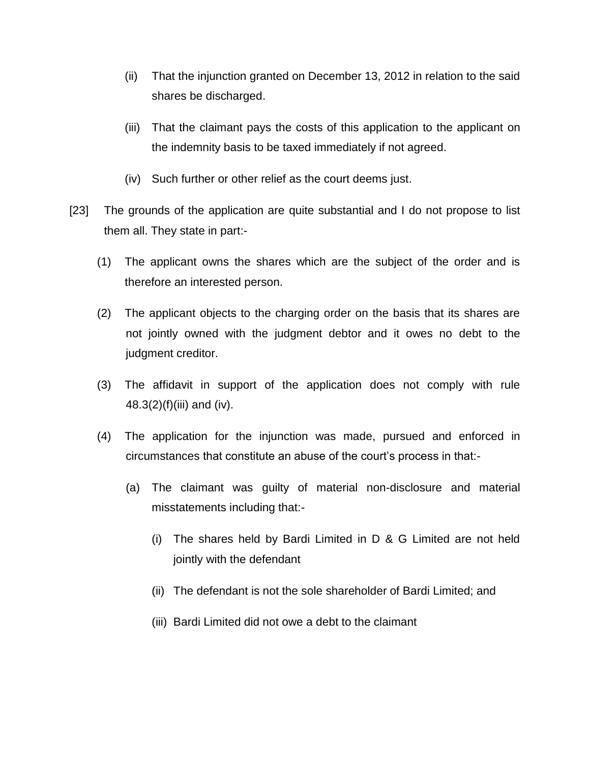- (ii) That the injunction granted on December 13, 2012 in relation to the said shares be discharged.
- (iii) That the claimant pays the costs of this application to the applicant on the indemnity basis to be taxed immediately if not agreed.
- (iv) Such further or other relief as the court deems just.
- [23] The grounds of the application are quite substantial and I do not propose to list them all. They state in part:-
	- (1) The applicant owns the shares which are the subject of the order and is therefore an interested person.
	- (2) The applicant objects to the charging order on the basis that its shares are not jointly owned with the judgment debtor and it owes no debt to the judgment creditor.
	- (3) The affidavit in support of the application does not comply with rule  $48.3(2)(f)(iii)$  and (iv).
	- (4) The application for the injunction was made, pursued and enforced in circumstances that constitute an abuse of the court"s process in that:-
		- (a) The claimant was guilty of material non-disclosure and material misstatements including that:-
			- (i) The shares held by Bardi Limited in D & G Limited are not held jointly with the defendant
			- (ii) The defendant is not the sole shareholder of Bardi Limited; and
			- (iii) Bardi Limited did not owe a debt to the claimant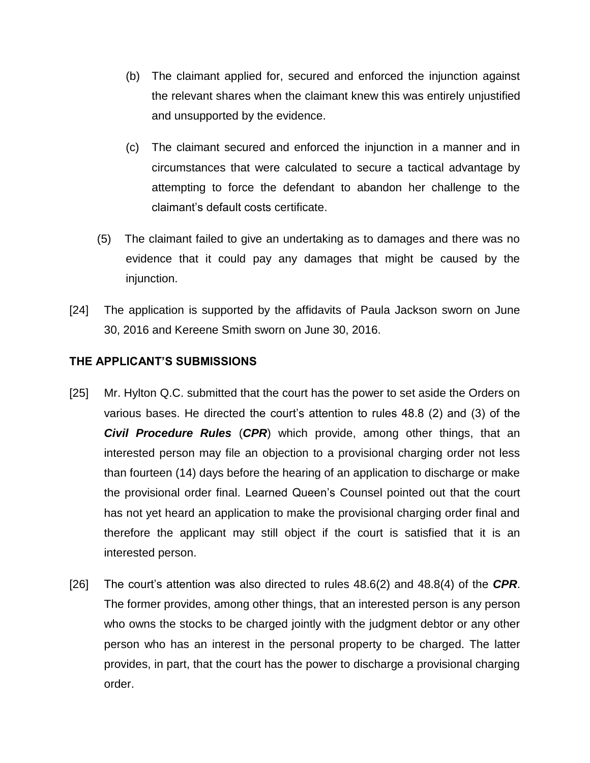- (b) The claimant applied for, secured and enforced the injunction against the relevant shares when the claimant knew this was entirely unjustified and unsupported by the evidence.
- (c) The claimant secured and enforced the injunction in a manner and in circumstances that were calculated to secure a tactical advantage by attempting to force the defendant to abandon her challenge to the claimant"s default costs certificate.
- (5) The claimant failed to give an undertaking as to damages and there was no evidence that it could pay any damages that might be caused by the injunction.
- [24] The application is supported by the affidavits of Paula Jackson sworn on June 30, 2016 and Kereene Smith sworn on June 30, 2016.

## **THE APPLICANT'S SUBMISSIONS**

- [25] Mr. Hylton Q.C. submitted that the court has the power to set aside the Orders on various bases. He directed the court"s attention to rules 48.8 (2) and (3) of the *Civil Procedure Rules* (*CPR*) which provide, among other things, that an interested person may file an objection to a provisional charging order not less than fourteen (14) days before the hearing of an application to discharge or make the provisional order final. Learned Queen"s Counsel pointed out that the court has not yet heard an application to make the provisional charging order final and therefore the applicant may still object if the court is satisfied that it is an interested person.
- [26] The court"s attention was also directed to rules 48.6(2) and 48.8(4) of the *CPR*. The former provides, among other things, that an interested person is any person who owns the stocks to be charged jointly with the judgment debtor or any other person who has an interest in the personal property to be charged. The latter provides, in part, that the court has the power to discharge a provisional charging order.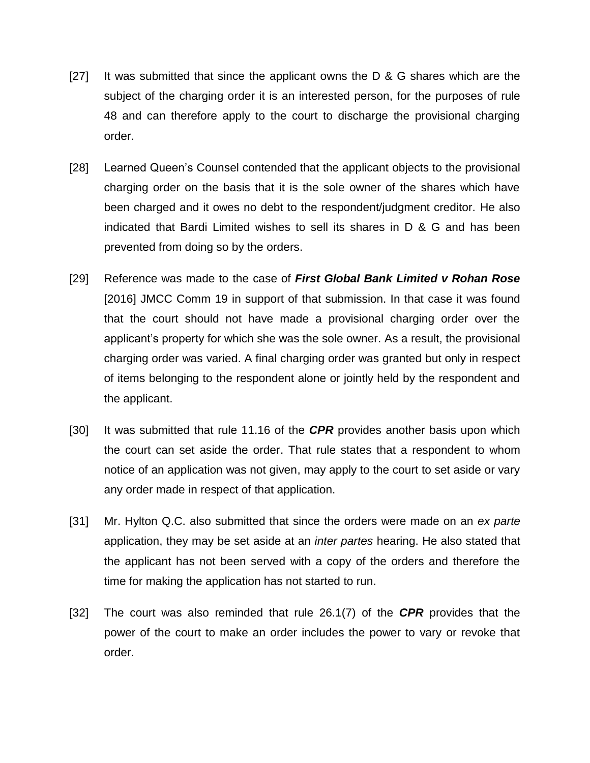- [27] It was submitted that since the applicant owns the D & G shares which are the subject of the charging order it is an interested person, for the purposes of rule 48 and can therefore apply to the court to discharge the provisional charging order.
- [28] Learned Queen's Counsel contended that the applicant objects to the provisional charging order on the basis that it is the sole owner of the shares which have been charged and it owes no debt to the respondent/judgment creditor. He also indicated that Bardi Limited wishes to sell its shares in D & G and has been prevented from doing so by the orders.
- [29] Reference was made to the case of *First Global Bank Limited v Rohan Rose* [2016] JMCC Comm 19 in support of that submission. In that case it was found that the court should not have made a provisional charging order over the applicant"s property for which she was the sole owner. As a result, the provisional charging order was varied. A final charging order was granted but only in respect of items belonging to the respondent alone or jointly held by the respondent and the applicant.
- [30] It was submitted that rule 11.16 of the *CPR* provides another basis upon which the court can set aside the order. That rule states that a respondent to whom notice of an application was not given, may apply to the court to set aside or vary any order made in respect of that application.
- [31] Mr. Hylton Q.C. also submitted that since the orders were made on an *ex parte* application, they may be set aside at an *inter partes* hearing. He also stated that the applicant has not been served with a copy of the orders and therefore the time for making the application has not started to run.
- [32] The court was also reminded that rule 26.1(7) of the *CPR* provides that the power of the court to make an order includes the power to vary or revoke that order.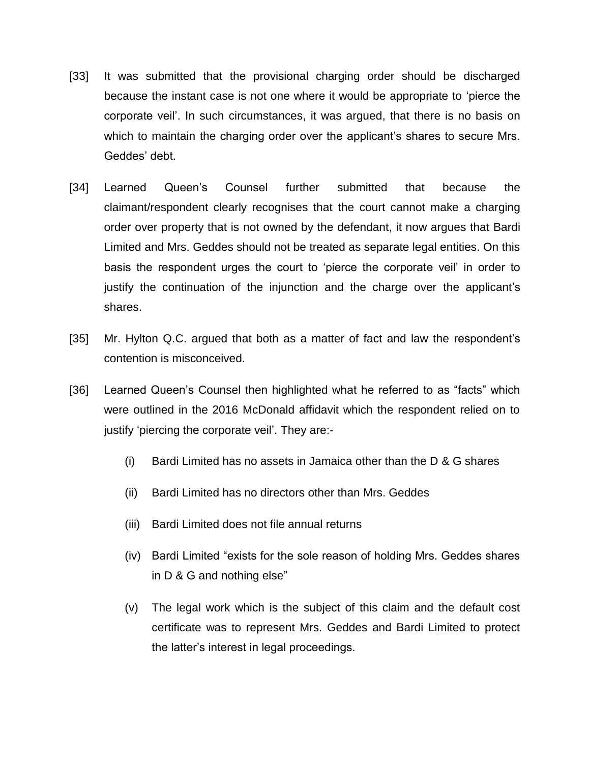- [33] It was submitted that the provisional charging order should be discharged because the instant case is not one where it would be appropriate to "pierce the corporate veil". In such circumstances, it was argued, that there is no basis on which to maintain the charging order over the applicant's shares to secure Mrs. Geddes' debt.
- [34] Learned Queen"s Counsel further submitted that because the claimant/respondent clearly recognises that the court cannot make a charging order over property that is not owned by the defendant, it now argues that Bardi Limited and Mrs. Geddes should not be treated as separate legal entities. On this basis the respondent urges the court to "pierce the corporate veil" in order to justify the continuation of the injunction and the charge over the applicant"s shares.
- [35] Mr. Hylton Q.C. argued that both as a matter of fact and law the respondent's contention is misconceived.
- [36] Learned Queen's Counsel then highlighted what he referred to as "facts" which were outlined in the 2016 McDonald affidavit which the respondent relied on to justify "piercing the corporate veil". They are:-
	- (i) Bardi Limited has no assets in Jamaica other than the D & G shares
	- (ii) Bardi Limited has no directors other than Mrs. Geddes
	- (iii) Bardi Limited does not file annual returns
	- (iv) Bardi Limited "exists for the sole reason of holding Mrs. Geddes shares in D & G and nothing else"
	- (v) The legal work which is the subject of this claim and the default cost certificate was to represent Mrs. Geddes and Bardi Limited to protect the latter"s interest in legal proceedings.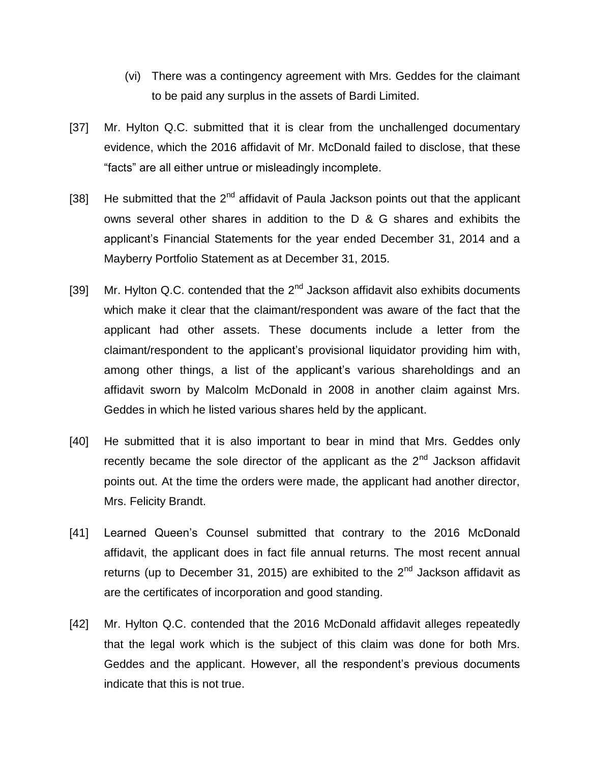- (vi) There was a contingency agreement with Mrs. Geddes for the claimant to be paid any surplus in the assets of Bardi Limited.
- [37] Mr. Hylton Q.C. submitted that it is clear from the unchallenged documentary evidence, which the 2016 affidavit of Mr. McDonald failed to disclose, that these "facts" are all either untrue or misleadingly incomplete.
- [38] He submitted that the  $2^{nd}$  affidavit of Paula Jackson points out that the applicant owns several other shares in addition to the D & G shares and exhibits the applicant"s Financial Statements for the year ended December 31, 2014 and a Mayberry Portfolio Statement as at December 31, 2015.
- [39] Mr. Hylton Q.C. contended that the  $2<sup>nd</sup>$  Jackson affidavit also exhibits documents which make it clear that the claimant/respondent was aware of the fact that the applicant had other assets. These documents include a letter from the claimant/respondent to the applicant"s provisional liquidator providing him with, among other things, a list of the applicant"s various shareholdings and an affidavit sworn by Malcolm McDonald in 2008 in another claim against Mrs. Geddes in which he listed various shares held by the applicant.
- [40] He submitted that it is also important to bear in mind that Mrs. Geddes only recently became the sole director of the applicant as the  $2<sup>nd</sup>$  Jackson affidavit points out. At the time the orders were made, the applicant had another director, Mrs. Felicity Brandt.
- [41] Learned Queen's Counsel submitted that contrary to the 2016 McDonald affidavit, the applicant does in fact file annual returns. The most recent annual returns (up to December 31, 2015) are exhibited to the  $2<sup>nd</sup>$  Jackson affidavit as are the certificates of incorporation and good standing.
- [42] Mr. Hylton Q.C. contended that the 2016 McDonald affidavit alleges repeatedly that the legal work which is the subject of this claim was done for both Mrs. Geddes and the applicant. However, all the respondent's previous documents indicate that this is not true.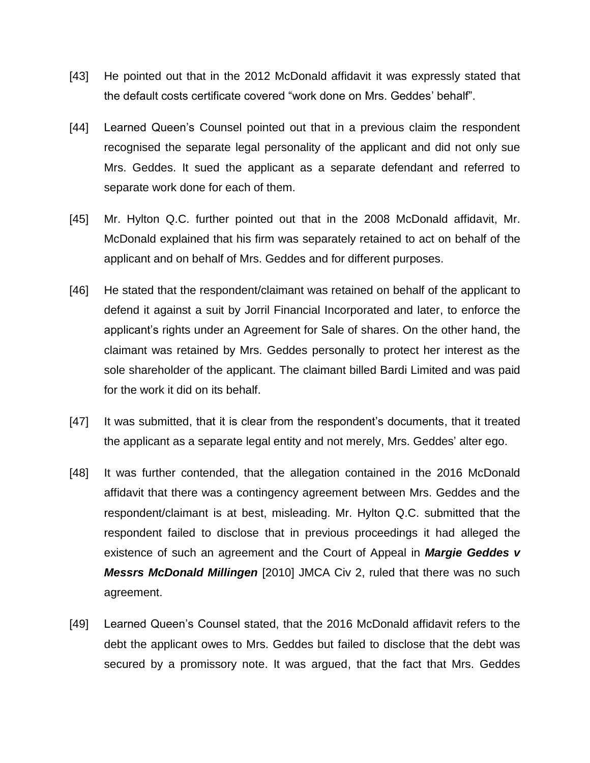- [43] He pointed out that in the 2012 McDonald affidavit it was expressly stated that the default costs certificate covered "work done on Mrs. Geddes' behalf".
- [44] Learned Queen's Counsel pointed out that in a previous claim the respondent recognised the separate legal personality of the applicant and did not only sue Mrs. Geddes. It sued the applicant as a separate defendant and referred to separate work done for each of them.
- [45] Mr. Hylton Q.C. further pointed out that in the 2008 McDonald affidavit, Mr. McDonald explained that his firm was separately retained to act on behalf of the applicant and on behalf of Mrs. Geddes and for different purposes.
- [46] He stated that the respondent/claimant was retained on behalf of the applicant to defend it against a suit by Jorril Financial Incorporated and later, to enforce the applicant"s rights under an Agreement for Sale of shares. On the other hand, the claimant was retained by Mrs. Geddes personally to protect her interest as the sole shareholder of the applicant. The claimant billed Bardi Limited and was paid for the work it did on its behalf.
- [47] It was submitted, that it is clear from the respondent's documents, that it treated the applicant as a separate legal entity and not merely, Mrs. Geddes" alter ego.
- [48] It was further contended, that the allegation contained in the 2016 McDonald affidavit that there was a contingency agreement between Mrs. Geddes and the respondent/claimant is at best, misleading. Mr. Hylton Q.C. submitted that the respondent failed to disclose that in previous proceedings it had alleged the existence of such an agreement and the Court of Appeal in *Margie Geddes v Messrs McDonald Millingen* [2010] JMCA Civ 2, ruled that there was no such agreement.
- [49] Learned Queen"s Counsel stated, that the 2016 McDonald affidavit refers to the debt the applicant owes to Mrs. Geddes but failed to disclose that the debt was secured by a promissory note. It was argued, that the fact that Mrs. Geddes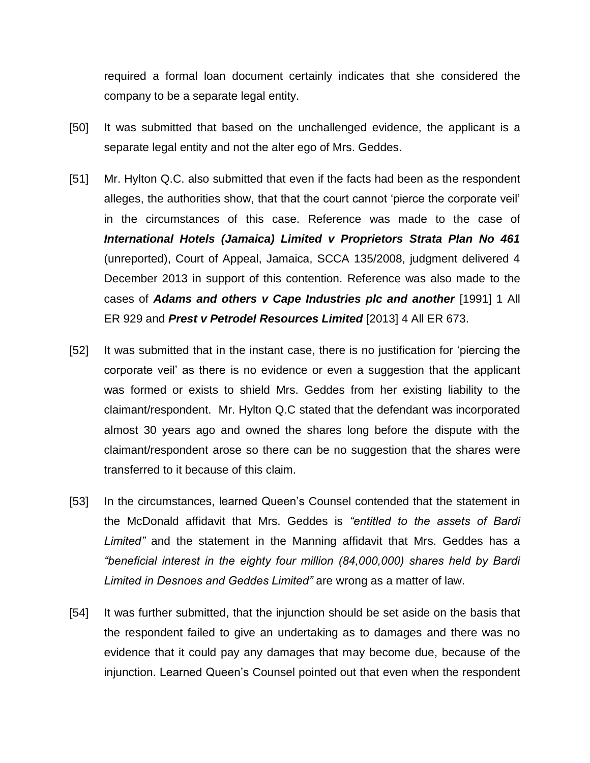required a formal loan document certainly indicates that she considered the company to be a separate legal entity.

- [50] It was submitted that based on the unchallenged evidence, the applicant is a separate legal entity and not the alter ego of Mrs. Geddes.
- [51] Mr. Hylton Q.C. also submitted that even if the facts had been as the respondent alleges, the authorities show, that that the court cannot "pierce the corporate veil" in the circumstances of this case. Reference was made to the case of *International Hotels (Jamaica) Limited v Proprietors Strata Plan No 461* (unreported), Court of Appeal, Jamaica, SCCA 135/2008, judgment delivered 4 December 2013 in support of this contention. Reference was also made to the cases of *Adams and others v Cape Industries plc and another* [1991] 1 All ER 929 and *Prest v Petrodel Resources Limited* [2013] 4 All ER 673.
- [52] It was submitted that in the instant case, there is no justification for "piercing the corporate veil" as there is no evidence or even a suggestion that the applicant was formed or exists to shield Mrs. Geddes from her existing liability to the claimant/respondent. Mr. Hylton Q.C stated that the defendant was incorporated almost 30 years ago and owned the shares long before the dispute with the claimant/respondent arose so there can be no suggestion that the shares were transferred to it because of this claim.
- [53] In the circumstances, learned Queen's Counsel contended that the statement in the McDonald affidavit that Mrs. Geddes is *"entitled to the assets of Bardi Limited"* and the statement in the Manning affidavit that Mrs. Geddes has a *"beneficial interest in the eighty four million (84,000,000) shares held by Bardi Limited in Desnoes and Geddes Limited"* are wrong as a matter of law.
- [54] It was further submitted, that the injunction should be set aside on the basis that the respondent failed to give an undertaking as to damages and there was no evidence that it could pay any damages that may become due, because of the injunction. Learned Queen"s Counsel pointed out that even when the respondent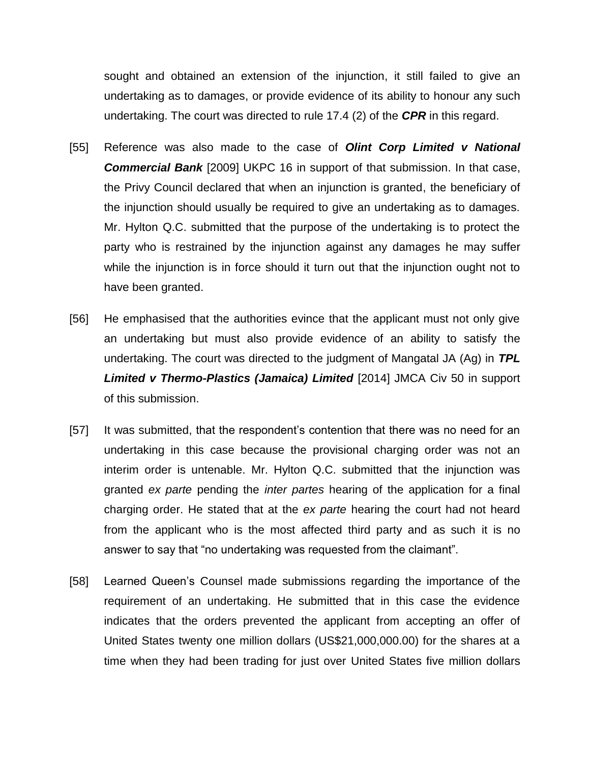sought and obtained an extension of the injunction, it still failed to give an undertaking as to damages, or provide evidence of its ability to honour any such undertaking. The court was directed to rule 17.4 (2) of the *CPR* in this regard.

- [55] Reference was also made to the case of *Olint Corp Limited v National Commercial Bank* [2009] UKPC 16 in support of that submission. In that case, the Privy Council declared that when an injunction is granted, the beneficiary of the injunction should usually be required to give an undertaking as to damages. Mr. Hylton Q.C. submitted that the purpose of the undertaking is to protect the party who is restrained by the injunction against any damages he may suffer while the injunction is in force should it turn out that the injunction ought not to have been granted.
- [56] He emphasised that the authorities evince that the applicant must not only give an undertaking but must also provide evidence of an ability to satisfy the undertaking. The court was directed to the judgment of Mangatal JA (Ag) in *TPL Limited v Thermo-Plastics (Jamaica) Limited* [2014] JMCA Civ 50 in support of this submission.
- [57] It was submitted, that the respondent's contention that there was no need for an undertaking in this case because the provisional charging order was not an interim order is untenable. Mr. Hylton Q.C. submitted that the injunction was granted *ex parte* pending the *inter partes* hearing of the application for a final charging order. He stated that at the *ex parte* hearing the court had not heard from the applicant who is the most affected third party and as such it is no answer to say that "no undertaking was requested from the claimant".
- [58] Learned Queen"s Counsel made submissions regarding the importance of the requirement of an undertaking. He submitted that in this case the evidence indicates that the orders prevented the applicant from accepting an offer of United States twenty one million dollars (US\$21,000,000.00) for the shares at a time when they had been trading for just over United States five million dollars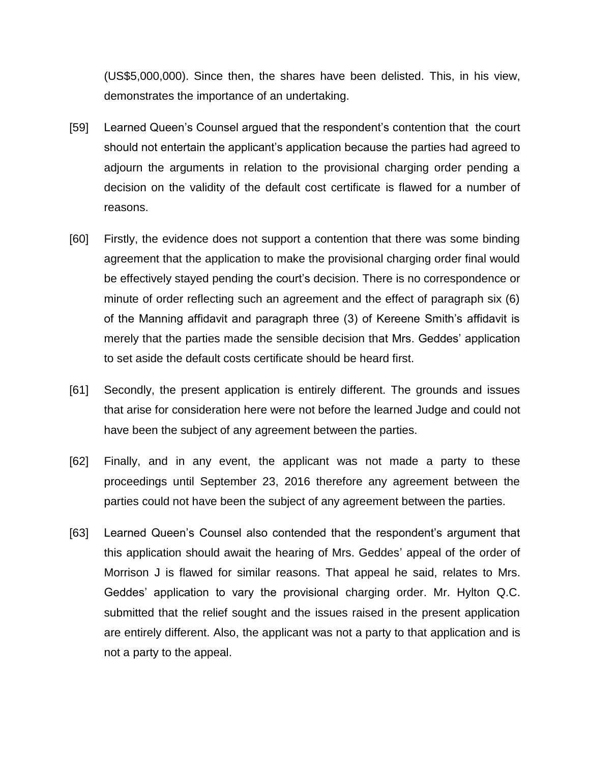(US\$5,000,000). Since then, the shares have been delisted. This, in his view, demonstrates the importance of an undertaking.

- [59] Learned Queen"s Counsel argued that the respondent"s contention that the court should not entertain the applicant"s application because the parties had agreed to adjourn the arguments in relation to the provisional charging order pending a decision on the validity of the default cost certificate is flawed for a number of reasons.
- [60] Firstly, the evidence does not support a contention that there was some binding agreement that the application to make the provisional charging order final would be effectively stayed pending the court"s decision. There is no correspondence or minute of order reflecting such an agreement and the effect of paragraph six (6) of the Manning affidavit and paragraph three (3) of Kereene Smith"s affidavit is merely that the parties made the sensible decision that Mrs. Geddes" application to set aside the default costs certificate should be heard first.
- [61] Secondly, the present application is entirely different. The grounds and issues that arise for consideration here were not before the learned Judge and could not have been the subject of any agreement between the parties.
- [62] Finally, and in any event, the applicant was not made a party to these proceedings until September 23, 2016 therefore any agreement between the parties could not have been the subject of any agreement between the parties.
- [63] Learned Queen's Counsel also contended that the respondent's argument that this application should await the hearing of Mrs. Geddes" appeal of the order of Morrison J is flawed for similar reasons. That appeal he said, relates to Mrs. Geddes" application to vary the provisional charging order. Mr. Hylton Q.C. submitted that the relief sought and the issues raised in the present application are entirely different. Also, the applicant was not a party to that application and is not a party to the appeal.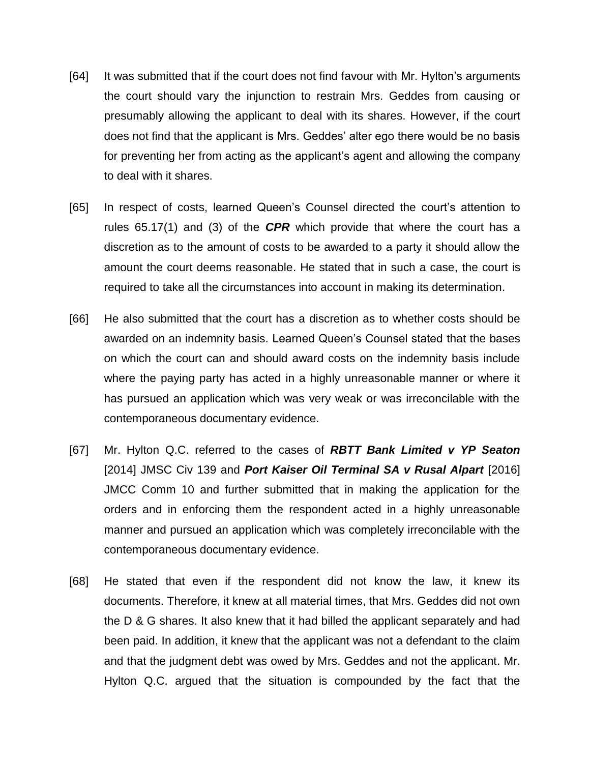- [64] It was submitted that if the court does not find favour with Mr. Hylton"s arguments the court should vary the injunction to restrain Mrs. Geddes from causing or presumably allowing the applicant to deal with its shares. However, if the court does not find that the applicant is Mrs. Geddes" alter ego there would be no basis for preventing her from acting as the applicant"s agent and allowing the company to deal with it shares.
- [65] In respect of costs, learned Queen's Counsel directed the court's attention to rules 65.17(1) and (3) of the *CPR* which provide that where the court has a discretion as to the amount of costs to be awarded to a party it should allow the amount the court deems reasonable. He stated that in such a case, the court is required to take all the circumstances into account in making its determination.
- [66] He also submitted that the court has a discretion as to whether costs should be awarded on an indemnity basis. Learned Queen"s Counsel stated that the bases on which the court can and should award costs on the indemnity basis include where the paying party has acted in a highly unreasonable manner or where it has pursued an application which was very weak or was irreconcilable with the contemporaneous documentary evidence.
- [67] Mr. Hylton Q.C. referred to the cases of *RBTT Bank Limited v YP Seaton* [2014] JMSC Civ 139 and *Port Kaiser Oil Terminal SA v Rusal Alpart* [2016] JMCC Comm 10 and further submitted that in making the application for the orders and in enforcing them the respondent acted in a highly unreasonable manner and pursued an application which was completely irreconcilable with the contemporaneous documentary evidence.
- [68] He stated that even if the respondent did not know the law, it knew its documents. Therefore, it knew at all material times, that Mrs. Geddes did not own the D & G shares. It also knew that it had billed the applicant separately and had been paid. In addition, it knew that the applicant was not a defendant to the claim and that the judgment debt was owed by Mrs. Geddes and not the applicant. Mr. Hylton Q.C. argued that the situation is compounded by the fact that the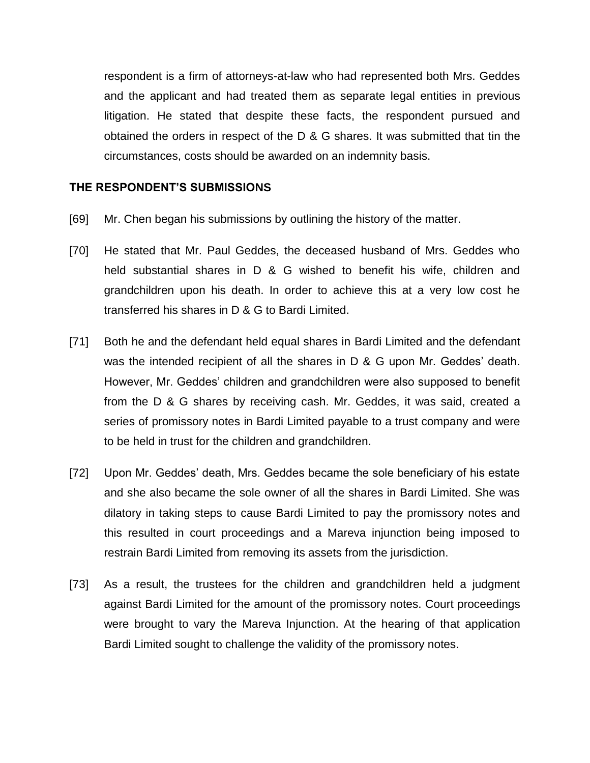respondent is a firm of attorneys-at-law who had represented both Mrs. Geddes and the applicant and had treated them as separate legal entities in previous litigation. He stated that despite these facts, the respondent pursued and obtained the orders in respect of the D & G shares. It was submitted that tin the circumstances, costs should be awarded on an indemnity basis.

#### **THE RESPONDENT'S SUBMISSIONS**

- [69] Mr. Chen began his submissions by outlining the history of the matter.
- [70] He stated that Mr. Paul Geddes, the deceased husband of Mrs. Geddes who held substantial shares in D & G wished to benefit his wife, children and grandchildren upon his death. In order to achieve this at a very low cost he transferred his shares in D & G to Bardi Limited.
- [71] Both he and the defendant held equal shares in Bardi Limited and the defendant was the intended recipient of all the shares in D & G upon Mr. Geddes' death. However, Mr. Geddes' children and grandchildren were also supposed to benefit from the D & G shares by receiving cash. Mr. Geddes, it was said, created a series of promissory notes in Bardi Limited payable to a trust company and were to be held in trust for the children and grandchildren.
- [72] Upon Mr. Geddes" death, Mrs. Geddes became the sole beneficiary of his estate and she also became the sole owner of all the shares in Bardi Limited. She was dilatory in taking steps to cause Bardi Limited to pay the promissory notes and this resulted in court proceedings and a Mareva injunction being imposed to restrain Bardi Limited from removing its assets from the jurisdiction.
- [73] As a result, the trustees for the children and grandchildren held a judgment against Bardi Limited for the amount of the promissory notes. Court proceedings were brought to vary the Mareva Injunction. At the hearing of that application Bardi Limited sought to challenge the validity of the promissory notes.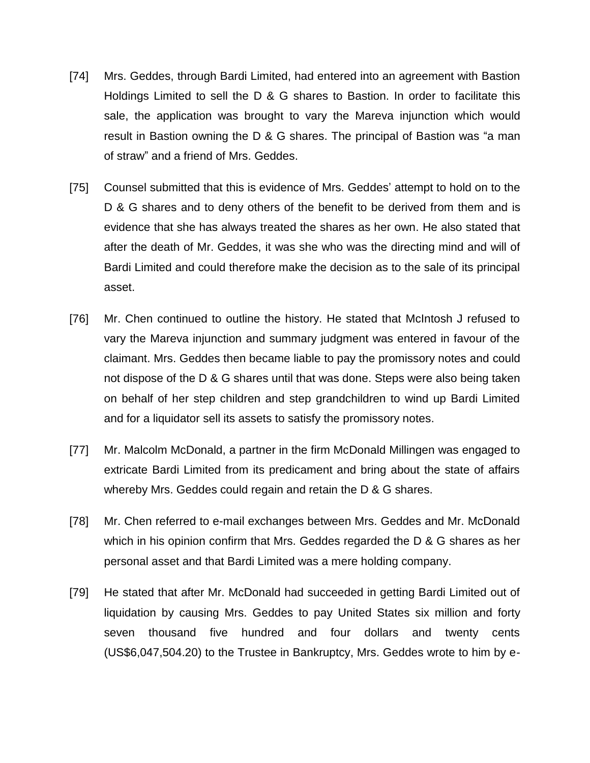- [74] Mrs. Geddes, through Bardi Limited, had entered into an agreement with Bastion Holdings Limited to sell the D & G shares to Bastion. In order to facilitate this sale, the application was brought to vary the Mareva injunction which would result in Bastion owning the D & G shares. The principal of Bastion was "a man of straw" and a friend of Mrs. Geddes.
- [75] Counsel submitted that this is evidence of Mrs. Geddes" attempt to hold on to the D & G shares and to deny others of the benefit to be derived from them and is evidence that she has always treated the shares as her own. He also stated that after the death of Mr. Geddes, it was she who was the directing mind and will of Bardi Limited and could therefore make the decision as to the sale of its principal asset.
- [76] Mr. Chen continued to outline the history. He stated that McIntosh J refused to vary the Mareva injunction and summary judgment was entered in favour of the claimant. Mrs. Geddes then became liable to pay the promissory notes and could not dispose of the D & G shares until that was done. Steps were also being taken on behalf of her step children and step grandchildren to wind up Bardi Limited and for a liquidator sell its assets to satisfy the promissory notes.
- [77] Mr. Malcolm McDonald, a partner in the firm McDonald Millingen was engaged to extricate Bardi Limited from its predicament and bring about the state of affairs whereby Mrs. Geddes could regain and retain the D & G shares.
- [78] Mr. Chen referred to e-mail exchanges between Mrs. Geddes and Mr. McDonald which in his opinion confirm that Mrs. Geddes regarded the D & G shares as her personal asset and that Bardi Limited was a mere holding company.
- [79] He stated that after Mr. McDonald had succeeded in getting Bardi Limited out of liquidation by causing Mrs. Geddes to pay United States six million and forty seven thousand five hundred and four dollars and twenty cents (US\$6,047,504.20) to the Trustee in Bankruptcy, Mrs. Geddes wrote to him by e-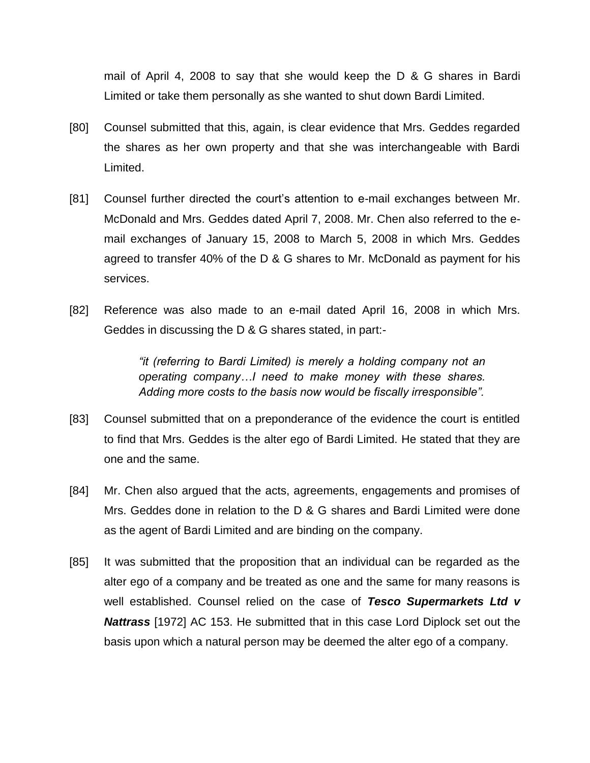mail of April 4, 2008 to say that she would keep the D & G shares in Bardi Limited or take them personally as she wanted to shut down Bardi Limited.

- [80] Counsel submitted that this, again, is clear evidence that Mrs. Geddes regarded the shares as her own property and that she was interchangeable with Bardi Limited.
- [81] Counsel further directed the court's attention to e-mail exchanges between Mr. McDonald and Mrs. Geddes dated April 7, 2008. Mr. Chen also referred to the email exchanges of January 15, 2008 to March 5, 2008 in which Mrs. Geddes agreed to transfer 40% of the D & G shares to Mr. McDonald as payment for his services.
- [82] Reference was also made to an e-mail dated April 16, 2008 in which Mrs. Geddes in discussing the D & G shares stated, in part:-

*"it (referring to Bardi Limited) is merely a holding company not an operating company…I need to make money with these shares. Adding more costs to the basis now would be fiscally irresponsible".*

- [83] Counsel submitted that on a preponderance of the evidence the court is entitled to find that Mrs. Geddes is the alter ego of Bardi Limited. He stated that they are one and the same.
- [84] Mr. Chen also argued that the acts, agreements, engagements and promises of Mrs. Geddes done in relation to the D & G shares and Bardi Limited were done as the agent of Bardi Limited and are binding on the company.
- [85] It was submitted that the proposition that an individual can be regarded as the alter ego of a company and be treated as one and the same for many reasons is well established. Counsel relied on the case of *Tesco Supermarkets Ltd v Nattrass* [1972] AC 153. He submitted that in this case Lord Diplock set out the basis upon which a natural person may be deemed the alter ego of a company.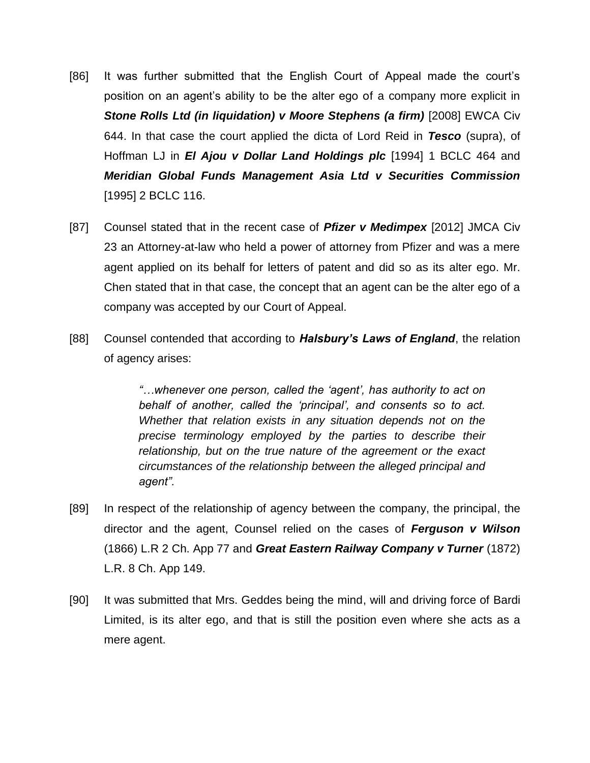- [86] It was further submitted that the English Court of Appeal made the court"s position on an agent"s ability to be the alter ego of a company more explicit in **Stone Rolls Ltd (in liquidation) v Moore Stephens (a firm) [2008] EWCA Civ** 644. In that case the court applied the dicta of Lord Reid in *Tesco* (supra), of Hoffman LJ in *El Ajou v Dollar Land Holdings plc* [1994] 1 BCLC 464 and *Meridian Global Funds Management Asia Ltd v Securities Commission* [1995] 2 BCLC 116.
- [87] Counsel stated that in the recent case of *Pfizer v Medimpex* [2012] JMCA Civ 23 an Attorney-at-law who held a power of attorney from Pfizer and was a mere agent applied on its behalf for letters of patent and did so as its alter ego. Mr. Chen stated that in that case, the concept that an agent can be the alter ego of a company was accepted by our Court of Appeal.
- [88] Counsel contended that according to *Halsbury's Laws of England*, the relation of agency arises:

*"…whenever one person, called the "agent", has authority to act on behalf of another, called the "principal", and consents so to act. Whether that relation exists in any situation depends not on the precise terminology employed by the parties to describe their relationship, but on the true nature of the agreement or the exact circumstances of the relationship between the alleged principal and agent".*

- [89] In respect of the relationship of agency between the company, the principal, the director and the agent, Counsel relied on the cases of *Ferguson v Wilson* (1866) L.R 2 Ch. App 77 and *Great Eastern Railway Company v Turner* (1872) L.R. 8 Ch. App 149.
- [90] It was submitted that Mrs. Geddes being the mind, will and driving force of Bardi Limited, is its alter ego, and that is still the position even where she acts as a mere agent.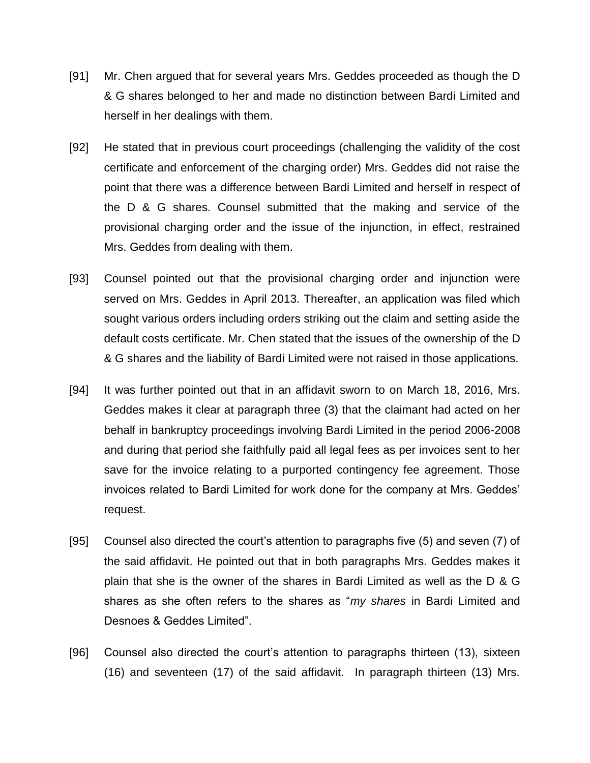- [91] Mr. Chen argued that for several years Mrs. Geddes proceeded as though the D & G shares belonged to her and made no distinction between Bardi Limited and herself in her dealings with them.
- [92] He stated that in previous court proceedings (challenging the validity of the cost certificate and enforcement of the charging order) Mrs. Geddes did not raise the point that there was a difference between Bardi Limited and herself in respect of the D & G shares. Counsel submitted that the making and service of the provisional charging order and the issue of the injunction, in effect, restrained Mrs. Geddes from dealing with them.
- [93] Counsel pointed out that the provisional charging order and injunction were served on Mrs. Geddes in April 2013. Thereafter, an application was filed which sought various orders including orders striking out the claim and setting aside the default costs certificate. Mr. Chen stated that the issues of the ownership of the D & G shares and the liability of Bardi Limited were not raised in those applications.
- [94] It was further pointed out that in an affidavit sworn to on March 18, 2016, Mrs. Geddes makes it clear at paragraph three (3) that the claimant had acted on her behalf in bankruptcy proceedings involving Bardi Limited in the period 2006-2008 and during that period she faithfully paid all legal fees as per invoices sent to her save for the invoice relating to a purported contingency fee agreement. Those invoices related to Bardi Limited for work done for the company at Mrs. Geddes" request.
- [95] Counsel also directed the court"s attention to paragraphs five (5) and seven (7) of the said affidavit. He pointed out that in both paragraphs Mrs. Geddes makes it plain that she is the owner of the shares in Bardi Limited as well as the D & G shares as she often refers to the shares as "*my shares* in Bardi Limited and Desnoes & Geddes Limited".
- [96] Counsel also directed the court"s attention to paragraphs thirteen (13), sixteen (16) and seventeen (17) of the said affidavit. In paragraph thirteen (13) Mrs.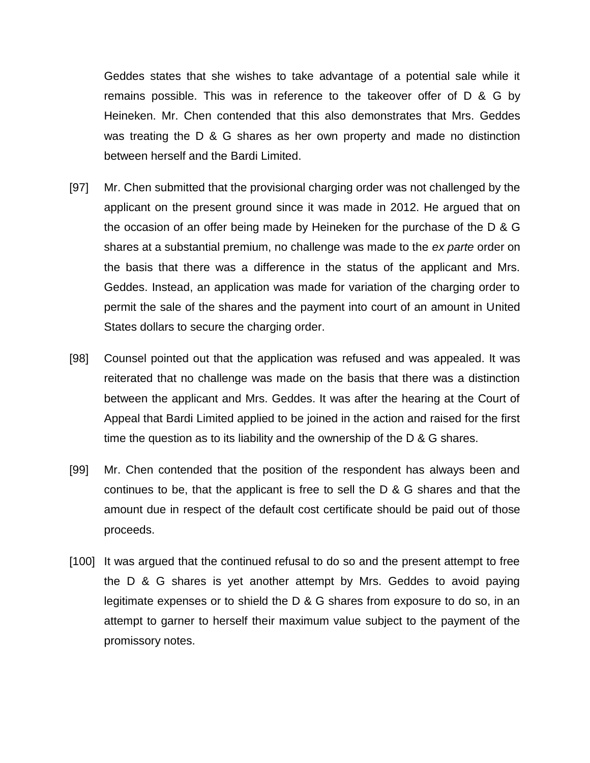Geddes states that she wishes to take advantage of a potential sale while it remains possible. This was in reference to the takeover offer of D & G by Heineken. Mr. Chen contended that this also demonstrates that Mrs. Geddes was treating the D & G shares as her own property and made no distinction between herself and the Bardi Limited.

- [97] Mr. Chen submitted that the provisional charging order was not challenged by the applicant on the present ground since it was made in 2012. He argued that on the occasion of an offer being made by Heineken for the purchase of the D & G shares at a substantial premium, no challenge was made to the *ex parte* order on the basis that there was a difference in the status of the applicant and Mrs. Geddes. Instead, an application was made for variation of the charging order to permit the sale of the shares and the payment into court of an amount in United States dollars to secure the charging order.
- [98] Counsel pointed out that the application was refused and was appealed. It was reiterated that no challenge was made on the basis that there was a distinction between the applicant and Mrs. Geddes. It was after the hearing at the Court of Appeal that Bardi Limited applied to be joined in the action and raised for the first time the question as to its liability and the ownership of the D & G shares.
- [99] Mr. Chen contended that the position of the respondent has always been and continues to be, that the applicant is free to sell the D & G shares and that the amount due in respect of the default cost certificate should be paid out of those proceeds.
- [100] It was argued that the continued refusal to do so and the present attempt to free the D & G shares is yet another attempt by Mrs. Geddes to avoid paying legitimate expenses or to shield the D & G shares from exposure to do so, in an attempt to garner to herself their maximum value subject to the payment of the promissory notes.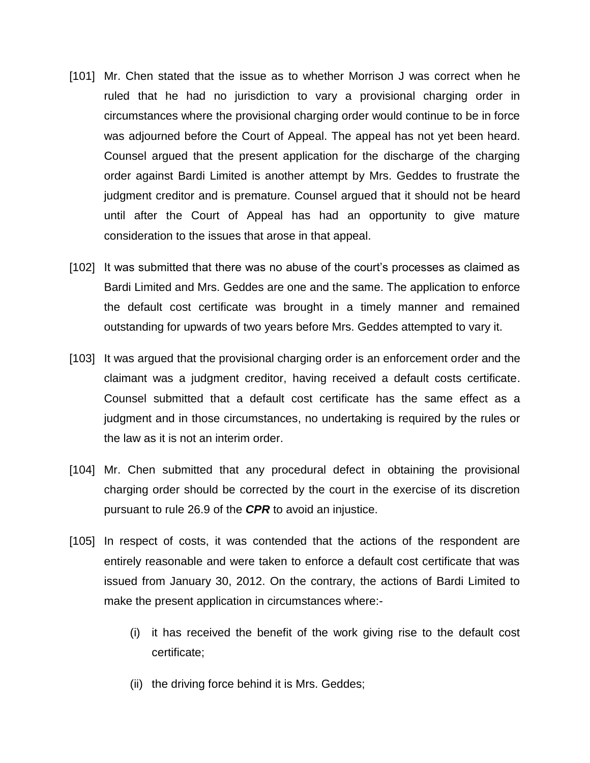- [101] Mr. Chen stated that the issue as to whether Morrison J was correct when he ruled that he had no jurisdiction to vary a provisional charging order in circumstances where the provisional charging order would continue to be in force was adjourned before the Court of Appeal. The appeal has not yet been heard. Counsel argued that the present application for the discharge of the charging order against Bardi Limited is another attempt by Mrs. Geddes to frustrate the judgment creditor and is premature. Counsel argued that it should not be heard until after the Court of Appeal has had an opportunity to give mature consideration to the issues that arose in that appeal.
- [102] It was submitted that there was no abuse of the court's processes as claimed as Bardi Limited and Mrs. Geddes are one and the same. The application to enforce the default cost certificate was brought in a timely manner and remained outstanding for upwards of two years before Mrs. Geddes attempted to vary it.
- [103] It was argued that the provisional charging order is an enforcement order and the claimant was a judgment creditor, having received a default costs certificate. Counsel submitted that a default cost certificate has the same effect as a judgment and in those circumstances, no undertaking is required by the rules or the law as it is not an interim order.
- [104] Mr. Chen submitted that any procedural defect in obtaining the provisional charging order should be corrected by the court in the exercise of its discretion pursuant to rule 26.9 of the *CPR* to avoid an injustice.
- [105] In respect of costs, it was contended that the actions of the respondent are entirely reasonable and were taken to enforce a default cost certificate that was issued from January 30, 2012. On the contrary, the actions of Bardi Limited to make the present application in circumstances where:-
	- (i) it has received the benefit of the work giving rise to the default cost certificate;
	- (ii) the driving force behind it is Mrs. Geddes;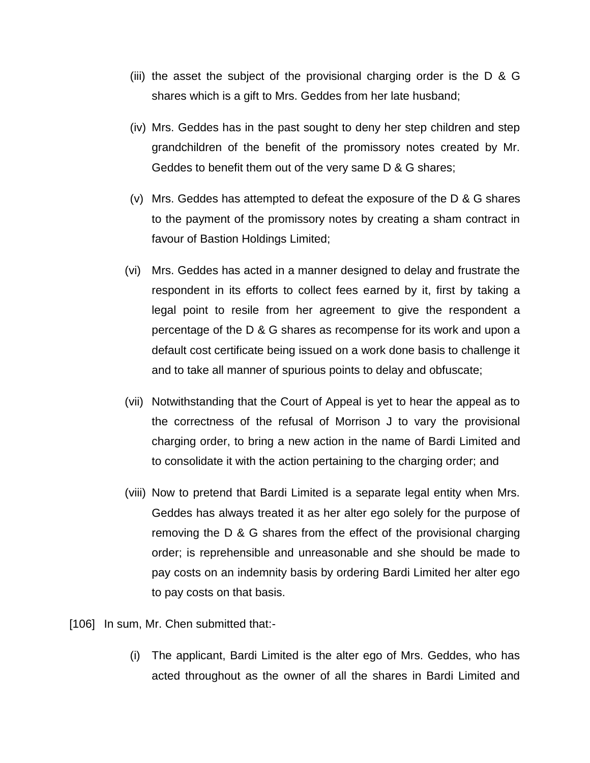- (iii) the asset the subject of the provisional charging order is the  $D & G$ shares which is a gift to Mrs. Geddes from her late husband;
- (iv) Mrs. Geddes has in the past sought to deny her step children and step grandchildren of the benefit of the promissory notes created by Mr. Geddes to benefit them out of the very same D & G shares;
- (v) Mrs. Geddes has attempted to defeat the exposure of the D & G shares to the payment of the promissory notes by creating a sham contract in favour of Bastion Holdings Limited;
- (vi) Mrs. Geddes has acted in a manner designed to delay and frustrate the respondent in its efforts to collect fees earned by it, first by taking a legal point to resile from her agreement to give the respondent a percentage of the D & G shares as recompense for its work and upon a default cost certificate being issued on a work done basis to challenge it and to take all manner of spurious points to delay and obfuscate;
- (vii) Notwithstanding that the Court of Appeal is yet to hear the appeal as to the correctness of the refusal of Morrison J to vary the provisional charging order, to bring a new action in the name of Bardi Limited and to consolidate it with the action pertaining to the charging order; and
- (viii) Now to pretend that Bardi Limited is a separate legal entity when Mrs. Geddes has always treated it as her alter ego solely for the purpose of removing the D & G shares from the effect of the provisional charging order; is reprehensible and unreasonable and she should be made to pay costs on an indemnity basis by ordering Bardi Limited her alter ego to pay costs on that basis.

[106] In sum, Mr. Chen submitted that:-

(i) The applicant, Bardi Limited is the alter ego of Mrs. Geddes, who has acted throughout as the owner of all the shares in Bardi Limited and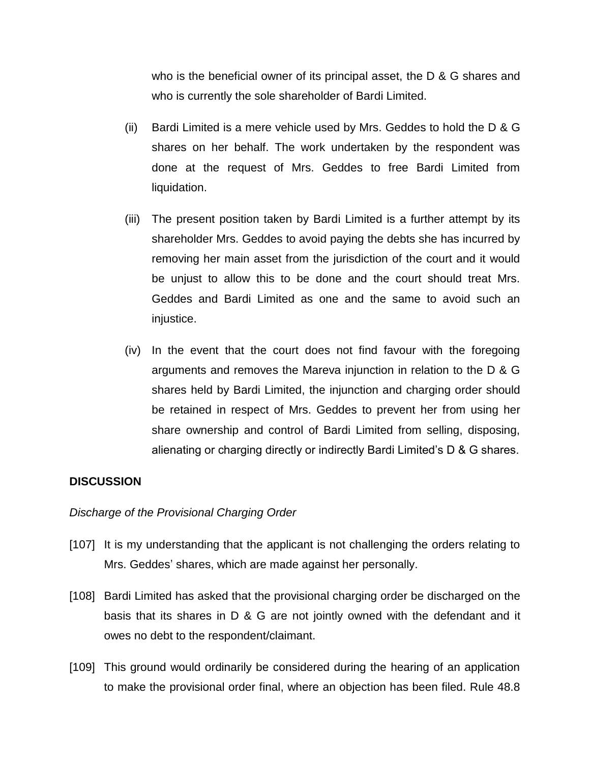who is the beneficial owner of its principal asset, the D & G shares and who is currently the sole shareholder of Bardi Limited.

- (ii) Bardi Limited is a mere vehicle used by Mrs. Geddes to hold the D & G shares on her behalf. The work undertaken by the respondent was done at the request of Mrs. Geddes to free Bardi Limited from liquidation.
- (iii) The present position taken by Bardi Limited is a further attempt by its shareholder Mrs. Geddes to avoid paying the debts she has incurred by removing her main asset from the jurisdiction of the court and it would be unjust to allow this to be done and the court should treat Mrs. Geddes and Bardi Limited as one and the same to avoid such an injustice.
- (iv) In the event that the court does not find favour with the foregoing arguments and removes the Mareva injunction in relation to the D & G shares held by Bardi Limited, the injunction and charging order should be retained in respect of Mrs. Geddes to prevent her from using her share ownership and control of Bardi Limited from selling, disposing, alienating or charging directly or indirectly Bardi Limited"s D & G shares.

### **DISCUSSION**

### *Discharge of the Provisional Charging Order*

- [107] It is my understanding that the applicant is not challenging the orders relating to Mrs. Geddes" shares, which are made against her personally.
- [108] Bardi Limited has asked that the provisional charging order be discharged on the basis that its shares in D & G are not jointly owned with the defendant and it owes no debt to the respondent/claimant.
- [109] This ground would ordinarily be considered during the hearing of an application to make the provisional order final, where an objection has been filed. Rule 48.8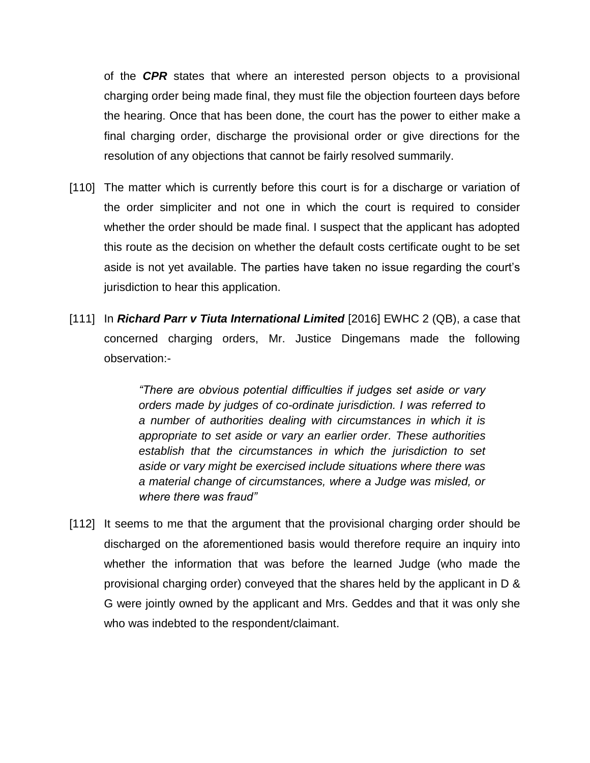of the *CPR* states that where an interested person objects to a provisional charging order being made final, they must file the objection fourteen days before the hearing. Once that has been done, the court has the power to either make a final charging order, discharge the provisional order or give directions for the resolution of any objections that cannot be fairly resolved summarily.

- [110] The matter which is currently before this court is for a discharge or variation of the order simpliciter and not one in which the court is required to consider whether the order should be made final. I suspect that the applicant has adopted this route as the decision on whether the default costs certificate ought to be set aside is not yet available. The parties have taken no issue regarding the court"s jurisdiction to hear this application.
- [111] In *Richard Parr v Tiuta International Limited* [2016] EWHC 2 (QB), a case that concerned charging orders, Mr. Justice Dingemans made the following observation:-

*"There are obvious potential difficulties if judges set aside or vary orders made by judges of co-ordinate jurisdiction. I was referred to a number of authorities dealing with circumstances in which it is appropriate to set aside or vary an earlier order. These authorities establish that the circumstances in which the jurisdiction to set aside or vary might be exercised include situations where there was a material change of circumstances, where a Judge was misled, or where there was fraud"*

[112] It seems to me that the argument that the provisional charging order should be discharged on the aforementioned basis would therefore require an inquiry into whether the information that was before the learned Judge (who made the provisional charging order) conveyed that the shares held by the applicant in D & G were jointly owned by the applicant and Mrs. Geddes and that it was only she who was indebted to the respondent/claimant.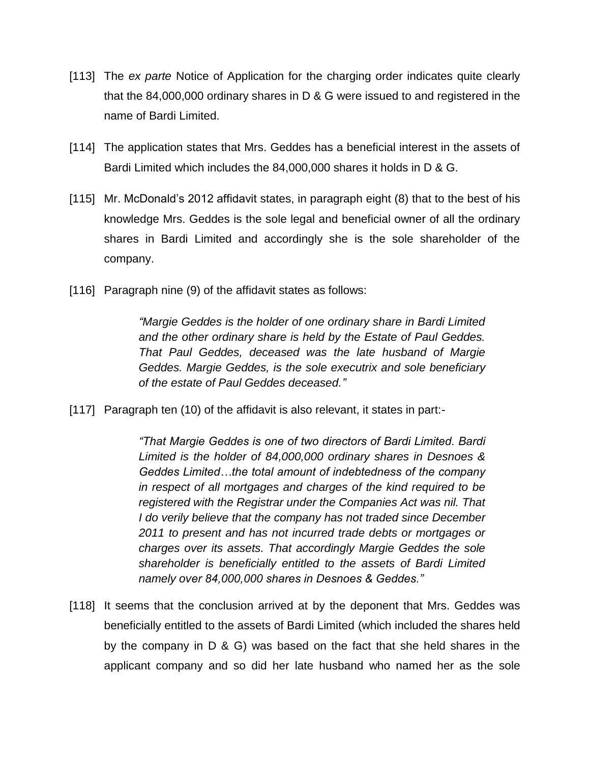- [113] The *ex parte* Notice of Application for the charging order indicates quite clearly that the 84,000,000 ordinary shares in D & G were issued to and registered in the name of Bardi Limited.
- [114] The application states that Mrs. Geddes has a beneficial interest in the assets of Bardi Limited which includes the 84,000,000 shares it holds in D & G.
- [115] Mr. McDonald's 2012 affidavit states, in paragraph eight (8) that to the best of his knowledge Mrs. Geddes is the sole legal and beneficial owner of all the ordinary shares in Bardi Limited and accordingly she is the sole shareholder of the company.
- [116] Paragraph nine (9) of the affidavit states as follows:

*"Margie Geddes is the holder of one ordinary share in Bardi Limited and the other ordinary share is held by the Estate of Paul Geddes. That Paul Geddes, deceased was the late husband of Margie Geddes. Margie Geddes, is the sole executrix and sole beneficiary of the estate of Paul Geddes deceased."*

[117] Paragraph ten (10) of the affidavit is also relevant, it states in part:-

*"That Margie Geddes is one of two directors of Bardi Limited. Bardi Limited is the holder of 84,000,000 ordinary shares in Desnoes & Geddes Limited…the total amount of indebtedness of the company in respect of all mortgages and charges of the kind required to be registered with the Registrar under the Companies Act was nil. That I do verily believe that the company has not traded since December 2011 to present and has not incurred trade debts or mortgages or charges over its assets. That accordingly Margie Geddes the sole shareholder is beneficially entitled to the assets of Bardi Limited namely over 84,000,000 shares in Desnoes & Geddes."*

[118] It seems that the conclusion arrived at by the deponent that Mrs. Geddes was beneficially entitled to the assets of Bardi Limited (which included the shares held by the company in D & G) was based on the fact that she held shares in the applicant company and so did her late husband who named her as the sole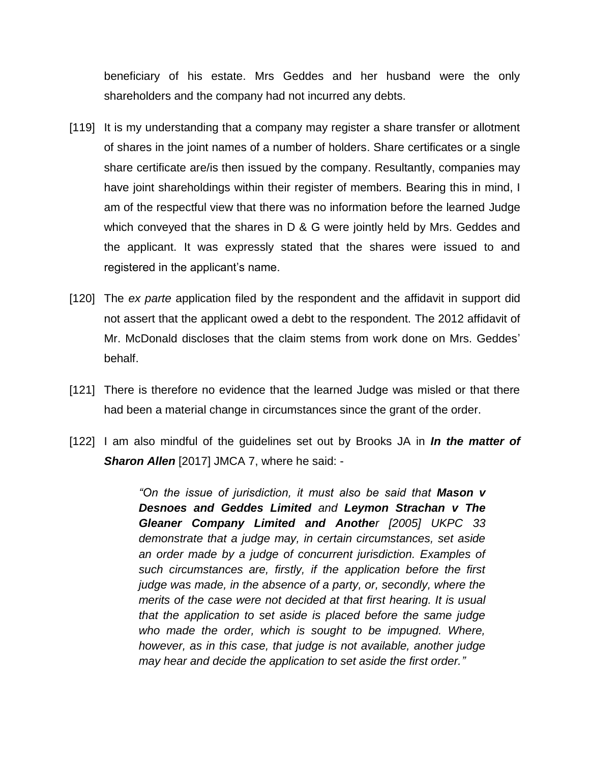beneficiary of his estate. Mrs Geddes and her husband were the only shareholders and the company had not incurred any debts.

- [119] It is my understanding that a company may register a share transfer or allotment of shares in the joint names of a number of holders. Share certificates or a single share certificate are/is then issued by the company. Resultantly, companies may have joint shareholdings within their register of members. Bearing this in mind, I am of the respectful view that there was no information before the learned Judge which conveyed that the shares in D & G were jointly held by Mrs. Geddes and the applicant. It was expressly stated that the shares were issued to and registered in the applicant's name.
- [120] The *ex parte* application filed by the respondent and the affidavit in support did not assert that the applicant owed a debt to the respondent. The 2012 affidavit of Mr. McDonald discloses that the claim stems from work done on Mrs. Geddes" behalf.
- [121] There is therefore no evidence that the learned Judge was misled or that there had been a material change in circumstances since the grant of the order.
- [122] I am also mindful of the guidelines set out by Brooks JA in *In the matter of*  **Sharon Allen** [2017] JMCA 7, where he said: -

*"On the issue of jurisdiction, it must also be said that Mason v Desnoes and Geddes Limited and Leymon Strachan v The Gleaner Company Limited and Another [2005] UKPC 33 demonstrate that a judge may, in certain circumstances, set aside an order made by a judge of concurrent jurisdiction. Examples of such circumstances are, firstly, if the application before the first judge was made, in the absence of a party, or, secondly, where the merits of the case were not decided at that first hearing. It is usual that the application to set aside is placed before the same judge*  who made the order, which is sought to be impugned. Where, *however, as in this case, that judge is not available, another judge may hear and decide the application to set aside the first order."*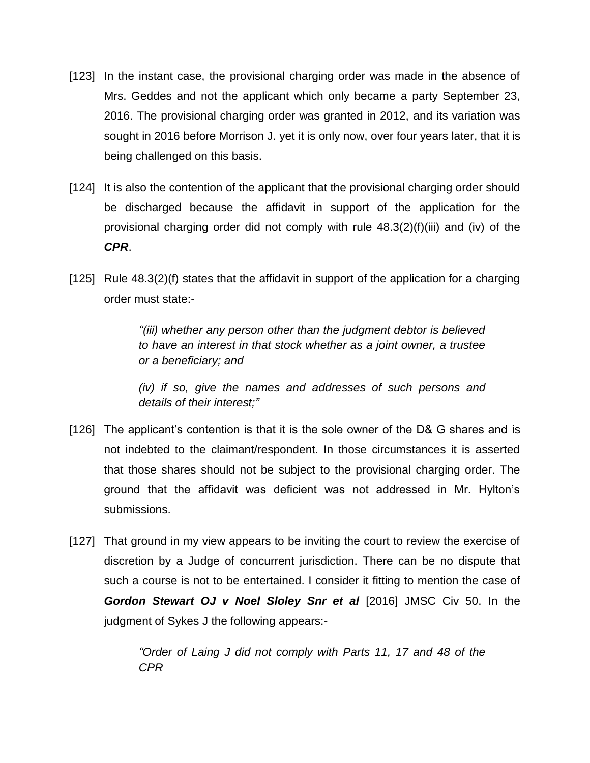- [123] In the instant case, the provisional charging order was made in the absence of Mrs. Geddes and not the applicant which only became a party September 23, 2016. The provisional charging order was granted in 2012, and its variation was sought in 2016 before Morrison J. yet it is only now, over four years later, that it is being challenged on this basis.
- [124] It is also the contention of the applicant that the provisional charging order should be discharged because the affidavit in support of the application for the provisional charging order did not comply with rule 48.3(2)(f)(iii) and (iv) of the *CPR*.
- [125] Rule 48.3(2)(f) states that the affidavit in support of the application for a charging order must state:-

*"(iii) whether any person other than the judgment debtor is believed to have an interest in that stock whether as a joint owner, a trustee or a beneficiary; and*

*(iv) if so, give the names and addresses of such persons and details of their interest;"*

- [126] The applicant"s contention is that it is the sole owner of the D& G shares and is not indebted to the claimant/respondent. In those circumstances it is asserted that those shares should not be subject to the provisional charging order. The ground that the affidavit was deficient was not addressed in Mr. Hylton"s submissions.
- [127] That ground in my view appears to be inviting the court to review the exercise of discretion by a Judge of concurrent jurisdiction. There can be no dispute that such a course is not to be entertained. I consider it fitting to mention the case of *Gordon Stewart OJ v Noel Sloley Snr et al* [2016] JMSC Civ 50. In the judgment of Sykes J the following appears:-

*"Order of Laing J did not comply with Parts 11, 17 and 48 of the CPR*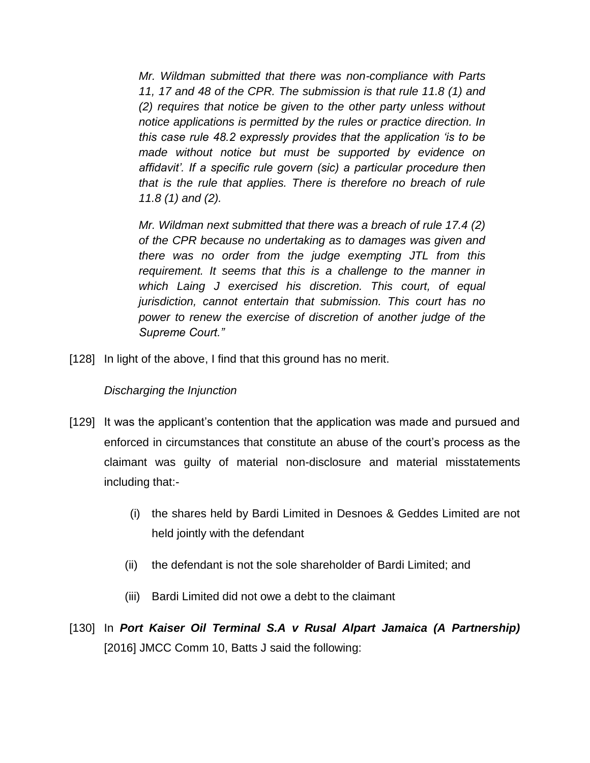*Mr. Wildman submitted that there was non-compliance with Parts 11, 17 and 48 of the CPR. The submission is that rule 11.8 (1) and (2) requires that notice be given to the other party unless without notice applications is permitted by the rules or practice direction. In this case rule 48.2 expressly provides that the application "is to be made without notice but must be supported by evidence on affidavit". If a specific rule govern (sic) a particular procedure then that is the rule that applies. There is therefore no breach of rule 11.8 (1) and (2).*

*Mr. Wildman next submitted that there was a breach of rule 17.4 (2) of the CPR because no undertaking as to damages was given and there was no order from the judge exempting JTL from this requirement. It seems that this is a challenge to the manner in which Laing J exercised his discretion. This court, of equal jurisdiction, cannot entertain that submission. This court has no power to renew the exercise of discretion of another judge of the Supreme Court."*

[128] In light of the above, I find that this ground has no merit.

## *Discharging the Injunction*

- [129] It was the applicant"s contention that the application was made and pursued and enforced in circumstances that constitute an abuse of the court"s process as the claimant was guilty of material non-disclosure and material misstatements including that:-
	- (i) the shares held by Bardi Limited in Desnoes & Geddes Limited are not held jointly with the defendant
	- (ii) the defendant is not the sole shareholder of Bardi Limited; and
	- (iii) Bardi Limited did not owe a debt to the claimant
- [130] In *Port Kaiser Oil Terminal S.A v Rusal Alpart Jamaica (A Partnership)* [2016] JMCC Comm 10, Batts J said the following: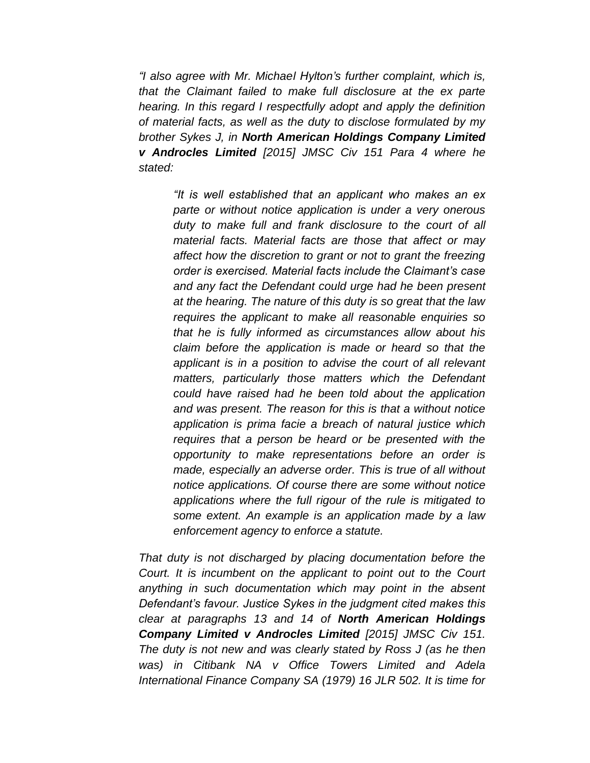*"I also agree with Mr. Michael Hylton"s further complaint, which is, that the Claimant failed to make full disclosure at the ex parte hearing. In this regard I respectfully adopt and apply the definition of material facts, as well as the duty to disclose formulated by my brother Sykes J, in North American Holdings Company Limited v Androcles Limited [2015] JMSC Civ 151 Para 4 where he stated:*

*"It is well established that an applicant who makes an ex parte or without notice application is under a very onerous duty to make full and frank disclosure to the court of all material facts. Material facts are those that affect or may affect how the discretion to grant or not to grant the freezing order is exercised. Material facts include the Claimant"s case and any fact the Defendant could urge had he been present at the hearing. The nature of this duty is so great that the law requires the applicant to make all reasonable enquiries so that he is fully informed as circumstances allow about his claim before the application is made or heard so that the applicant is in a position to advise the court of all relevant matters, particularly those matters which the Defendant could have raised had he been told about the application and was present. The reason for this is that a without notice application is prima facie a breach of natural justice which requires that a person be heard or be presented with the opportunity to make representations before an order is made, especially an adverse order. This is true of all without notice applications. Of course there are some without notice applications where the full rigour of the rule is mitigated to some extent. An example is an application made by a law enforcement agency to enforce a statute.*

*That duty is not discharged by placing documentation before the Court. It is incumbent on the applicant to point out to the Court anything in such documentation which may point in the absent Defendant"s favour. Justice Sykes in the judgment cited makes this clear at paragraphs 13 and 14 of North American Holdings Company Limited v Androcles Limited [2015] JMSC Civ 151. The duty is not new and was clearly stated by Ross J (as he then was) in Citibank NA v Office Towers Limited and Adela International Finance Company SA (1979) 16 JLR 502. It is time for*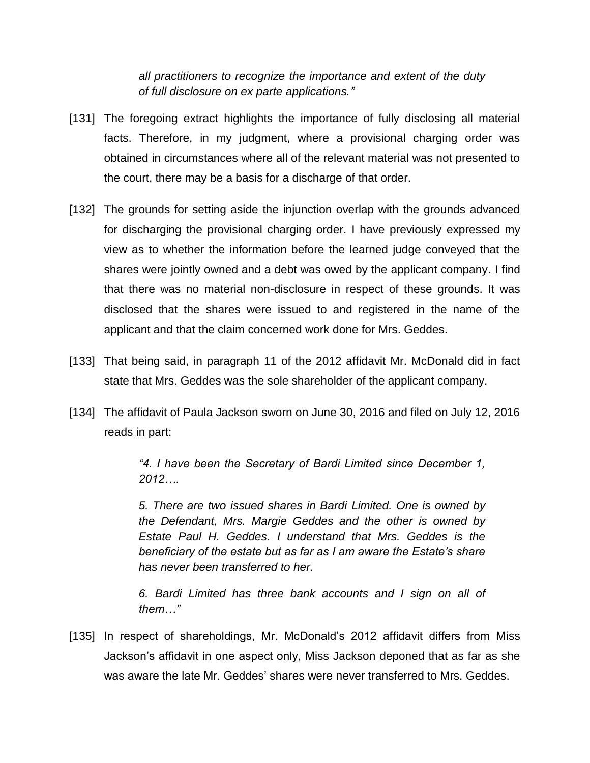*all practitioners to recognize the importance and extent of the duty of full disclosure on ex parte applications."*

- [131] The foregoing extract highlights the importance of fully disclosing all material facts. Therefore, in my judgment, where a provisional charging order was obtained in circumstances where all of the relevant material was not presented to the court, there may be a basis for a discharge of that order.
- [132] The grounds for setting aside the injunction overlap with the grounds advanced for discharging the provisional charging order. I have previously expressed my view as to whether the information before the learned judge conveyed that the shares were jointly owned and a debt was owed by the applicant company. I find that there was no material non-disclosure in respect of these grounds. It was disclosed that the shares were issued to and registered in the name of the applicant and that the claim concerned work done for Mrs. Geddes.
- [133] That being said, in paragraph 11 of the 2012 affidavit Mr. McDonald did in fact state that Mrs. Geddes was the sole shareholder of the applicant company.
- [134] The affidavit of Paula Jackson sworn on June 30, 2016 and filed on July 12, 2016 reads in part:

*"4. I have been the Secretary of Bardi Limited since December 1, 2012….*

*5. There are two issued shares in Bardi Limited. One is owned by the Defendant, Mrs. Margie Geddes and the other is owned by Estate Paul H. Geddes. I understand that Mrs. Geddes is the beneficiary of the estate but as far as I am aware the Estate"s share has never been transferred to her.*

*6. Bardi Limited has three bank accounts and I sign on all of them…"*

[135] In respect of shareholdings, Mr. McDonald's 2012 affidavit differs from Miss Jackson"s affidavit in one aspect only, Miss Jackson deponed that as far as she was aware the late Mr. Geddes" shares were never transferred to Mrs. Geddes.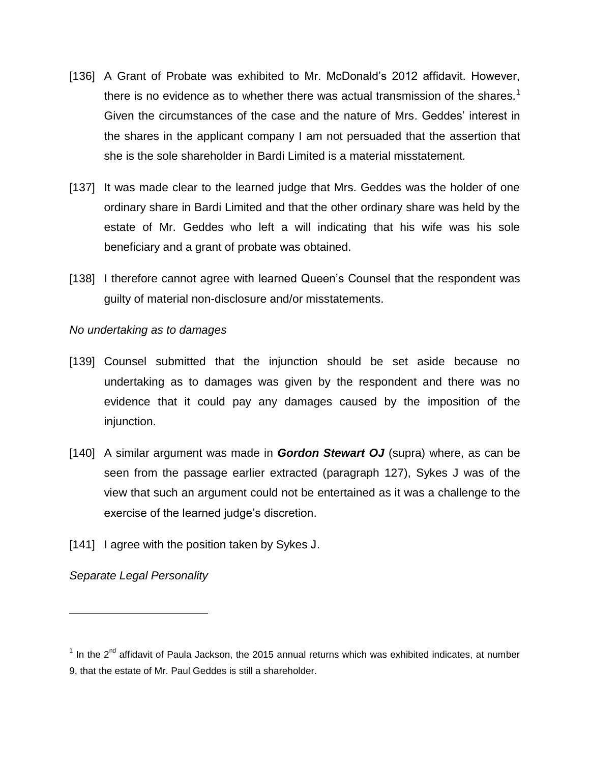- [136] A Grant of Probate was exhibited to Mr. McDonald"s 2012 affidavit. However, there is no evidence as to whether there was actual transmission of the shares.<sup>1</sup> Given the circumstances of the case and the nature of Mrs. Geddes" interest in the shares in the applicant company I am not persuaded that the assertion that she is the sole shareholder in Bardi Limited is a material misstatement*.*
- [137] It was made clear to the learned judge that Mrs. Geddes was the holder of one ordinary share in Bardi Limited and that the other ordinary share was held by the estate of Mr. Geddes who left a will indicating that his wife was his sole beneficiary and a grant of probate was obtained.
- [138] I therefore cannot agree with learned Queen's Counsel that the respondent was guilty of material non-disclosure and/or misstatements.

### *No undertaking as to damages*

- [139] Counsel submitted that the injunction should be set aside because no undertaking as to damages was given by the respondent and there was no evidence that it could pay any damages caused by the imposition of the injunction.
- [140] A similar argument was made in *Gordon Stewart OJ* (supra) where, as can be seen from the passage earlier extracted (paragraph 127), Sykes J was of the view that such an argument could not be entertained as it was a challenge to the exercise of the learned judge's discretion.
- [141] I agree with the position taken by Sykes J.

*Separate Legal Personality*

 $\overline{a}$ 

 $1$  In the 2<sup>nd</sup> affidavit of Paula Jackson, the 2015 annual returns which was exhibited indicates, at number 9, that the estate of Mr. Paul Geddes is still a shareholder.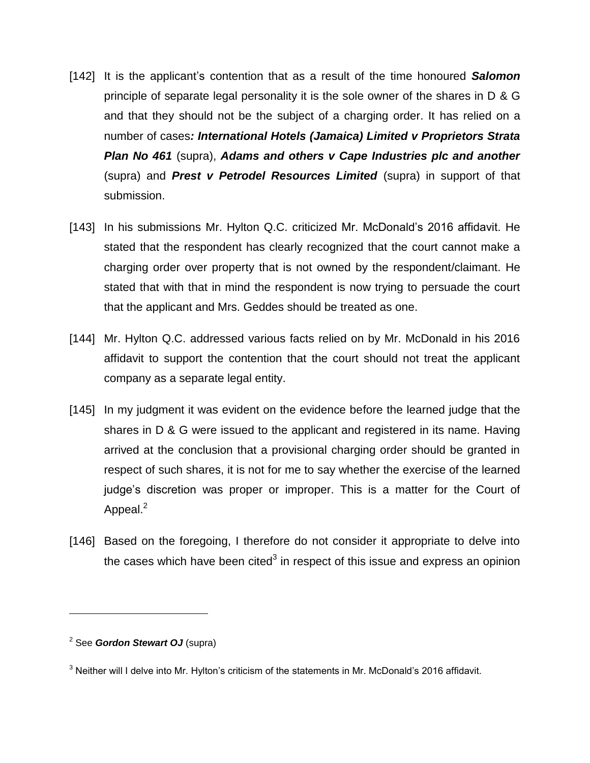- [142] It is the applicant"s contention that as a result of the time honoured *Salomon*  principle of separate legal personality it is the sole owner of the shares in D & G and that they should not be the subject of a charging order. It has relied on a number of cases*: International Hotels (Jamaica) Limited v Proprietors Strata Plan No 461* (supra), *Adams and others v Cape Industries plc and another* (supra) and *Prest v Petrodel Resources Limited* (supra) in support of that submission.
- [143] In his submissions Mr. Hylton Q.C. criticized Mr. McDonald's 2016 affidavit. He stated that the respondent has clearly recognized that the court cannot make a charging order over property that is not owned by the respondent/claimant. He stated that with that in mind the respondent is now trying to persuade the court that the applicant and Mrs. Geddes should be treated as one.
- [144] Mr. Hylton Q.C. addressed various facts relied on by Mr. McDonald in his 2016 affidavit to support the contention that the court should not treat the applicant company as a separate legal entity.
- [145] In my judgment it was evident on the evidence before the learned judge that the shares in D & G were issued to the applicant and registered in its name. Having arrived at the conclusion that a provisional charging order should be granted in respect of such shares, it is not for me to say whether the exercise of the learned judge"s discretion was proper or improper. This is a matter for the Court of Appeal. $^2$
- [146] Based on the foregoing, I therefore do not consider it appropriate to delve into the cases which have been cited<sup>3</sup> in respect of this issue and express an opinion

 $\overline{a}$ 

<sup>2</sup> See *Gordon Stewart OJ* (supra)

 $3$  Neither will I delve into Mr. Hylton's criticism of the statements in Mr. McDonald's 2016 affidavit.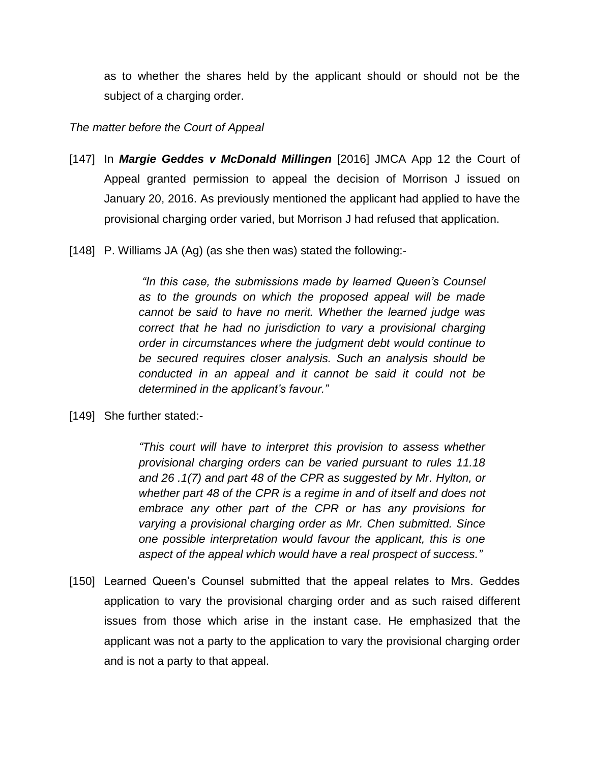as to whether the shares held by the applicant should or should not be the subject of a charging order.

### *The matter before the Court of Appeal*

- [147] In *Margie Geddes v McDonald Millingen* [2016] JMCA App 12 the Court of Appeal granted permission to appeal the decision of Morrison J issued on January 20, 2016. As previously mentioned the applicant had applied to have the provisional charging order varied, but Morrison J had refused that application.
- [148] P. Williams JA (Ag) (as she then was) stated the following:-

*"In this case, the submissions made by learned Queen"s Counsel as to the grounds on which the proposed appeal will be made cannot be said to have no merit. Whether the learned judge was correct that he had no jurisdiction to vary a provisional charging order in circumstances where the judgment debt would continue to be secured requires closer analysis. Such an analysis should be conducted in an appeal and it cannot be said it could not be determined in the applicant"s favour."*

[149] She further stated:-

*"This court will have to interpret this provision to assess whether provisional charging orders can be varied pursuant to rules 11.18 and 26 .1(7) and part 48 of the CPR as suggested by Mr. Hylton, or whether part 48 of the CPR is a regime in and of itself and does not embrace any other part of the CPR or has any provisions for varying a provisional charging order as Mr. Chen submitted. Since one possible interpretation would favour the applicant, this is one aspect of the appeal which would have a real prospect of success."*

[150] Learned Queen's Counsel submitted that the appeal relates to Mrs. Geddes application to vary the provisional charging order and as such raised different issues from those which arise in the instant case. He emphasized that the applicant was not a party to the application to vary the provisional charging order and is not a party to that appeal.